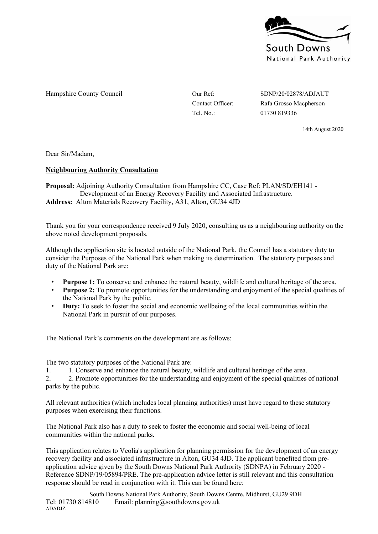

Hampshire County Council

Tel. No.: 01730 819336

Our Ref: SDNP/20/02878/ADJAUT Contact Officer: Rafa Grosso Macpherson

14th August 2020

Dear Sir/Madam,

## **Neighbouring Authority Consultation**

**Proposal:** Adjoining Authority Consultation from Hampshire CC, Case Ref: PLAN/SD/EH141 - Development of an Energy Recovery Facility and Associated Infrastructure. **Address:** Alton Materials Recovery Facility, A31, Alton, GU34 4JD

Thank you for your correspondence received 9 July 2020, consulting us as a neighbouring authority on the above noted development proposals.

Although the application site is located outside of the National Park, the Council has a statutory duty to consider the Purposes of the National Park when making its determination. The statutory purposes and duty of the National Park are:

- **Purpose 1:** To conserve and enhance the natural beauty, wildlife and cultural heritage of the area.
- **Purpose 2:** To promote opportunities for the understanding and enjoyment of the special qualities of the National Park by the public.
- **Duty:** To seek to foster the social and economic wellbeing of the local communities within the National Park in pursuit of our purposes.

The National Park's comments on the development are as follows:

The two statutory purposes of the National Park are:

1. 1. Conserve and enhance the natural beauty, wildlife and cultural heritage of the area.

2. 2. Promote opportunities for the understanding and enjoyment of the special qualities of national parks by the public.

All relevant authorities (which includes local planning authorities) must have regard to these statutory purposes when exercising their functions.

The National Park also has a duty to seek to foster the economic and social well-being of local communities within the national parks.

This application relates to Veolia's application for planning permission for the development of an energy recovery facility and associated infrastructure in Alton, GU34 4JD. The applicant benefited from preapplication advice given by the South Downs National Park Authority (SDNPA) in February 2020 - Reference SDNP/19/05894/PRE. The pre-application advice letter is still relevant and this consultation response should be read in conjunction with it. This can be found here: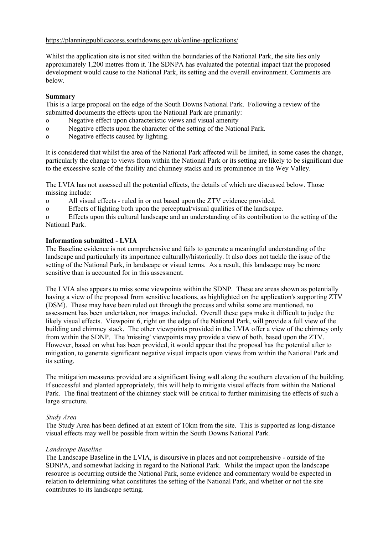### <https://planningpublicaccess.southdowns.gov.uk/online-applications/>

Whilst the application site is not sited within the boundaries of the National Park, the site lies only approximately 1,200 metres from it. The SDNPA has evaluated the potential impact that the proposed development would cause to the National Park, its setting and the overall environment. Comments are below.

### **Summary**

This is a large proposal on the edge of the South Downs National Park. Following a review of the submitted documents the effects upon the National Park are primarily:

- o Negative effect upon characteristic views and visual amenity
- o Negative effects upon the character of the setting of the National Park.
- o Negative effects caused by lighting.

It is considered that whilst the area of the National Park affected will be limited, in some cases the change, particularly the change to views from within the National Park or its setting are likely to be significant due to the excessive scale of the facility and chimney stacks and its prominence in the Wey Valley.

The LVIA has not assessed all the potential effects, the details of which are discussed below. Those missing include:

o All visual effects - ruled in or out based upon the ZTV evidence provided.

o Effects of lighting both upon the perceptual/visual qualities of the landscape.

o Effects upon this cultural landscape and an understanding of its contribution to the setting of the National Park.

### **Information submitted - LVIA**

The Baseline evidence is not comprehensive and fails to generate a meaningful understanding of the landscape and particularly its importance culturally/historically. It also does not tackle the issue of the setting of the National Park, in landscape or visual terms. As a result, this landscape may be more sensitive than is accounted for in this assessment.

The LVIA also appears to miss some viewpoints within the SDNP. These are areas shown as potentially having a view of the proposal from sensitive locations, as highlighted on the application's supporting ZTV (DSM). These may have been ruled out through the process and whilst some are mentioned, no assessment has been undertaken, nor images included. Overall these gaps make it difficult to judge the likely visual effects. Viewpoint 6, right on the edge of the National Park, will provide a full view of the building and chimney stack. The other viewpoints provided in the LVIA offer a view of the chimney only from within the SDNP. The 'missing' viewpoints may provide a view of both, based upon the ZTV. However, based on what has been provided, it would appear that the proposal has the potential after to mitigation, to generate significant negative visual impacts upon views from within the National Park and its setting.

The mitigation measures provided are a significant living wall along the southern elevation of the building. If successful and planted appropriately, this will help to mitigate visual effects from within the National Park. The final treatment of the chimney stack will be critical to further minimising the effects of such a large structure.

#### *Study Area*

The Study Area has been defined at an extent of 10km from the site. This is supported as long-distance visual effects may well be possible from within the South Downs National Park.

#### *Landscape Baseline*

The Landscape Baseline in the LVIA, is discursive in places and not comprehensive - outside of the SDNPA, and somewhat lacking in regard to the National Park. Whilst the impact upon the landscape resource is occurring outside the National Park, some evidence and commentary would be expected in relation to determining what constitutes the setting of the National Park, and whether or not the site contributes to its landscape setting.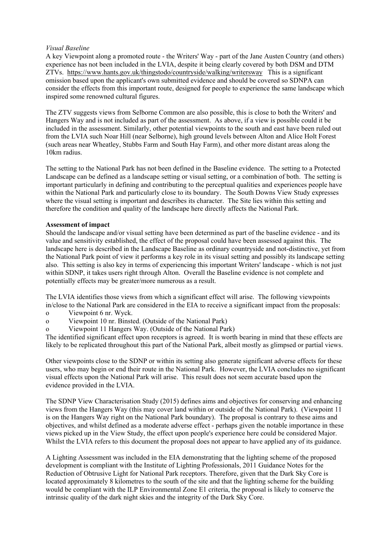### *Visual Baseline*

A key Viewpoint along a promoted route - the Writers' Way - part of the Jane Austen Country (and others) experience has not been included in the LVIA, despite it being clearly covered by both DSM and DTM ZTVs. <https://www.hants.gov.uk/thingstodo/countryside/walking/writersway>This is a significant omission based upon the applicant's own submitted evidence and should be covered so SDNPA can consider the effects from this important route, designed for people to experience the same landscape which inspired some renowned cultural figures.

The ZTV suggests views from Selborne Common are also possible, this is close to both the Writers' and Hangers Way and is not included as part of the assessment. As above, if a view is possible could it be included in the assessment. Similarly, other potential viewpoints to the south and east have been ruled out from the LVIA such Noar Hill (near Selborne), high ground levels between Alton and Alice Holt Forest (such areas near Wheatley, Stubbs Farm and South Hay Farm), and other more distant areas along the 10km radius.

The setting to the National Park has not been defined in the Baseline evidence. The setting to a Protected Landscape can be defined as a landscape setting or visual setting, or a combination of both. The setting is important particularly in defining and contributing to the perceptual qualities and experiences people have within the National Park and particularly close to its boundary. The South Downs View Study expresses where the visual setting is important and describes its character. The Site lies within this setting and therefore the condition and quality of the landscape here directly affects the National Park.

### **Assessment of impact**

Should the landscape and/or visual setting have been determined as part of the baseline evidence - and its value and sensitivity established, the effect of the proposal could have been assessed against this. The landscape here is described in the Landscape Baseline as ordinary countryside and not-distinctive, yet from the National Park point of view it performs a key role in its visual setting and possibly its landscape setting also. This setting is also key in terms of experiencing this important Writers' landscape - which is not just within SDNP, it takes users right through Alton. Overall the Baseline evidence is not complete and potentially effects may be greater/more numerous as a result.

The LVIA identifies those views from which a significant effect will arise. The following viewpoints in/close to the National Park are considered in the EIA to receive a significant impact from the proposals:

- o Viewpoint 6 nr. Wyck.
- o Viewpoint 10 nr. Binsted. (Outside of the National Park)
- o Viewpoint 11 Hangers Way. (Outside of the National Park)

The identified significant effect upon receptors is agreed. It is worth bearing in mind that these effects are likely to be replicated throughout this part of the National Park, albeit mostly as glimpsed or partial views.

Other viewpoints close to the SDNP or within its setting also generate significant adverse effects for these users, who may begin or end their route in the National Park. However, the LVIA concludes no significant visual effects upon the National Park will arise. This result does not seem accurate based upon the evidence provided in the LVIA.

The SDNP View Characterisation Study (2015) defines aims and objectives for conserving and enhancing views from the Hangers Way (this may cover land within or outside of the National Park). (Viewpoint 11 is on the Hangers Way right on the National Park boundary). The proposal is contrary to these aims and objectives, and whilst defined as a moderate adverse effect - perhaps given the notable importance in these views picked up in the View Study, the effect upon people's experience here could be considered Major. Whilst the LVIA refers to this document the proposal does not appear to have applied any of its guidance.

A Lighting Assessment was included in the EIA demonstrating that the lighting scheme of the proposed development is compliant with the Institute of Lighting Professionals, 2011 Guidance Notes for the Reduction of Obtrusive Light for National Park receptors. Therefore, given that the Dark Sky Core is located approximately 8 kilometres to the south of the site and that the lighting scheme for the building would be compliant with the ILP Environmental Zone E1 criteria, the proposal is likely to conserve the intrinsic quality of the dark night skies and the integrity of the Dark Sky Core.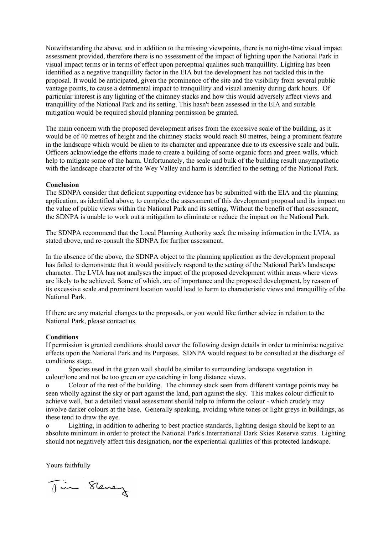Notwithstanding the above, and in addition to the missing viewpoints, there is no night-time visual impact assessment provided, therefore there is no assessment of the impact of lighting upon the National Park in visual impact terms or in terms of effect upon perceptual qualities such tranquillity. Lighting has been identified as a negative tranquillity factor in the EIA but the development has not tackled this in the proposal. It would be anticipated, given the prominence of the site and the visibility from several public vantage points, to cause a detrimental impact to tranquillity and visual amenity during dark hours. Of particular interest is any lighting of the chimney stacks and how this would adversely affect views and tranquillity of the National Park and its setting. This hasn't been assessed in the EIA and suitable mitigation would be required should planning permission be granted.

The main concern with the proposed development arises from the excessive scale of the building, as it would be of 40 metres of height and the chimney stacks would reach 80 metres, being a prominent feature in the landscape which would be alien to its character and appearance due to its excessive scale and bulk. Officers acknowledge the efforts made to create a building of some organic form and green walls, which help to mitigate some of the harm. Unfortunately, the scale and bulk of the building result unsympathetic with the landscape character of the Wey Valley and harm is identified to the setting of the National Park.

#### **Conclusion**

The SDNPA consider that deficient supporting evidence has be submitted with the EIA and the planning application, as identified above, to complete the assessment of this development proposal and its impact on the value of public views within the National Park and its setting. Without the benefit of that assessment, the SDNPA is unable to work out a mitigation to eliminate or reduce the impact on the National Park.

The SDNPA recommend that the Local Planning Authority seek the missing information in the LVIA, as stated above, and re-consult the SDNPA for further assessment.

In the absence of the above, the SDNPA object to the planning application as the development proposal has failed to demonstrate that it would positively respond to the setting of the National Park's landscape character. The LVIA has not analyses the impact of the proposed development within areas where views are likely to be achieved. Some of which, are of importance and the proposed development, by reason of its excessive scale and prominent location would lead to harm to characteristic views and tranquillity of the National Park.

If there are any material changes to the proposals, or you would like further advice in relation to the National Park, please contact us.

#### **Conditions**

If permission is granted conditions should cover the following design details in order to minimise negative effects upon the National Park and its Purposes. SDNPA would request to be consulted at the discharge of conditions stage.

o Species used in the green wall should be similar to surrounding landscape vegetation in colour/tone and not be too green or eye catching in long distance views.

o Colour of the rest of the building. The chimney stack seen from different vantage points may be seen wholly against the sky or part against the land, part against the sky. This makes colour difficult to achieve well, but a detailed visual assessment should help to inform the colour - which crudely may involve darker colours at the base. Generally speaking, avoiding white tones or light greys in buildings, as these tend to draw the eye.

o Lighting, in addition to adhering to best practice standards, lighting design should be kept to an absolute minimum in order to protect the National Park's International Dark Skies Reserve status. Lighting should not negatively affect this designation, nor the experiential qualities of this protected landscape.

Yours faithfully

Tim Steney